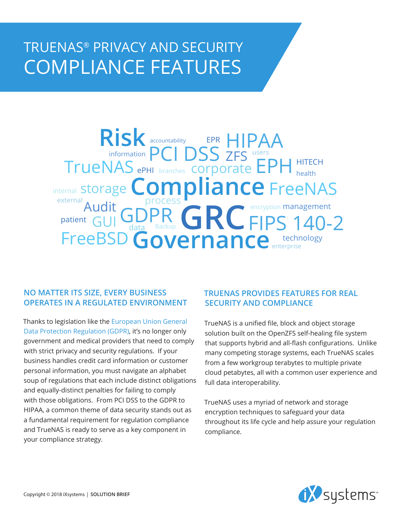## TRUENAS® PRIVACY AND SECURITY COMPLIANCE FEATURES

## GDPR GRC FreeBSD **Governance** enterprise **Risk** storage **Compliance** FreeNAS TrueNAS ePHI branches Corporate EPH HITECH process Backup **GRU FIPS 140-2** ePHI EPR branches ZFS external<br>Audit health information  $P($  |  $)$   $\searrow$  7EC users internal management patient  $\left| G \right| \bigcup_{\text{data}}$ encryption accountability EPR HIPAA

## **NO MATTER ITS SIZE, EVERY BUSINESS OPERATES IN A REGULATED ENVIRONMENT**

Thanks to legislation like the [European Union General](https://www.ixsystems.com/blog/gdpr-countdown/)  [Data Protection Regulation \(GDPR\),](https://www.ixsystems.com/blog/gdpr-countdown/) it's no longer only government and medical providers that need to comply with strict privacy and security regulations. If your business handles credit card information or customer personal information, you must navigate an alphabet soup of regulations that each include distinct obligations and equally-distinct penalties for failing to comply with those obligations. From PCI DSS to the GDPR to HIPAA, a common theme of data security stands out as a fundamental requirement for regulation compliance and TrueNAS is ready to serve as a key component in your compliance strategy.

## **TRUENAS PROVIDES FEATURES FOR REAL SECURITY AND COMPLIANCE**

TrueNAS is a unified file, block and object storage solution built on the OpenZFS self-healing file system that supports hybrid and all-flash configurations. Unlike many competing storage systems, each TrueNAS scales from a few workgroup terabytes to multiple private cloud petabytes, all with a common user experience and full data interoperability.

TrueNAS uses a myriad of network and storage encryption techniques to safeguard your data throughout its life cycle and help assure your regulation compliance.